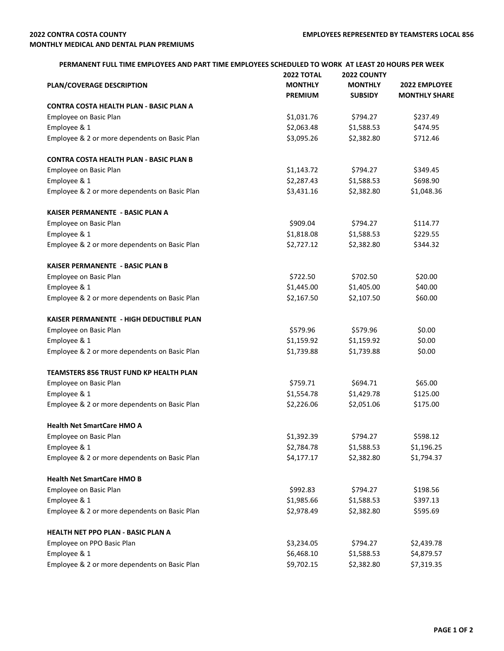## **2022 TOTAL MONTHLY PREMIUM 2022 COUNTY MONTHLY SUBSIDY 2022 EMPLOYEE MONTHLY SHARE** \$1,031.76 \$794.27 \$237.49 \$2,063.48 \$1,588.53 \$474.95 \$3,095.26 \$2,382.80 \$712.46 \$1,143.72 \$794.27 \$349.45 \$2,287.43 \$1,588.53 \$698.90 \$3,431.16 \$2,382.80 \$1,048.36 \$909.04 \$794.27 \$114.77 \$1,818.08 \$1,588.53 \$229.55 \$2,727.12 \$2,382.80 \$344.32 \$722.50 \$702.50 \$20.00 \$1,445.00 \$1,405.00 \$40.00 \$2,167.50 \$2,107.50 \$60.00 \$579.96 \$579.96 \$0.00 \$1,159.92 \$1,159.92 \$0.00 \$1,739.88 \$1,739.88 \$0.00  $$759.71$   $$694.71$   $$65.00$ \$1,554.78 \$1,429.78 \$125.00 \$2,226.06 \$2,051.06 \$175.00 \$1.392.39 \$794.27 \$598.12 \$2,784.78 \$1,588.53 \$1,196.25 \$4,177.17 \$2,382.80 \$1,794.37 \$992.83 \$794.27 \$198.56 \$1,985.66 \$1,588.53 \$397.13 \$2,978.49 \$2,382.80 \$595.69 \$3,234.05 \$794.27 \$2,439.78 \$6,468.10 \$1,588.53 \$4,879.57 \$9,702.15 \$2,382.80 \$7,319.35 **HEALTH NET PPO PLAN - BASIC PLAN A** Employee on PPO Basic Plan Employee & 1 Employee & 2 or more dependents on Basic Plan Employee & 2 or more dependents on Basic Plan **KAISER PERMANENTE - HIGH DEDUCTIBLE PLAN** Employee on Basic Plan Employee & 1 Employee & 2 or more dependents on Basic Plan **Health Net SmartCare HMO A**  Employee on Basic Plan **TEAMSTERS 856 TRUST FUND KP HEALTH PLAN**  Employee on Basic Plan Employee & 1 Employee & 2 or more dependents on Basic Plan Employee & 1 Employee & 2 or more dependents on Basic Plan **Health Net SmartCare HMO B**  Employee on Basic Plan Employee & 1 Employee & 2 or more dependents on Basic Plan **CONTRA COSTA HEALTH PLAN - BASIC PLAN B** Employee on Basic Plan Employee & 1 Employee & 2 or more dependents on Basic Plan **KAISER PERMANENTE - BASIC PLAN A** Employee on Basic Plan Employee & 1 Employee & 2 or more dependents on Basic Plan **KAISER PERMANENTE - BASIC PLAN B** Employee on Basic Plan Employee & 1 Employee & 2 or more dependents on Basic Plan **PERMANENT FULL TIME EMPLOYEES AND PART TIME EMPLOYEES SCHEDULED TO WORK AT LEAST 20 HOURS PER WEEK PLAN/COVERAGE DESCRIPTION CONTRA COSTA HEALTH PLAN - BASIC PLAN A** Employee on Basic Plan Employee & 1